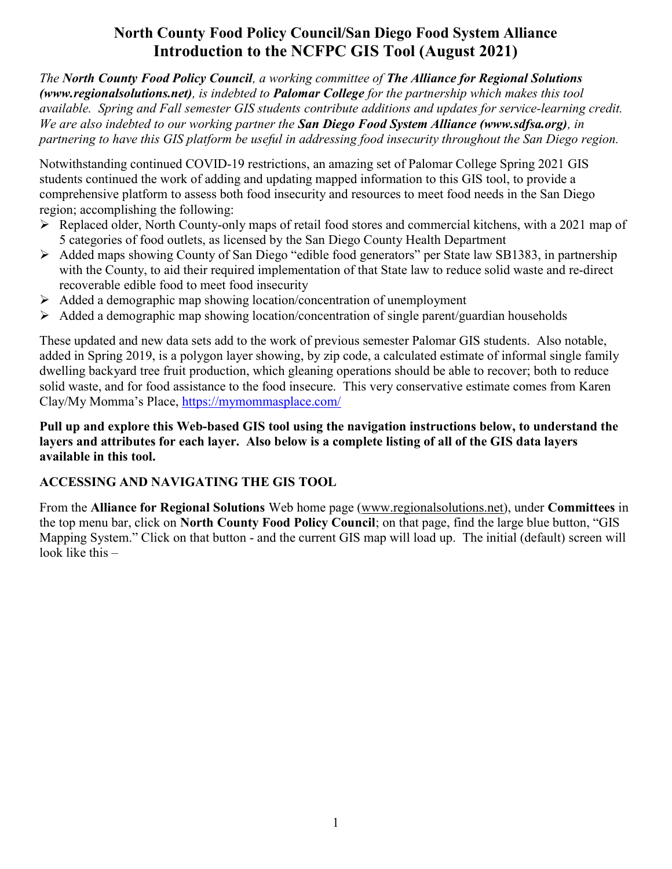# North County Food Policy Council/San Diego Food System Alliance Introduction to the NCFPC GIS Tool (August 2021)

The North County Food Policy Council, a working committee of The Alliance for Regional Solutions (www.regionalsolutions.net), is indebted to Palomar College for the partnership which makes this tool available. Spring and Fall semester GIS students contribute additions and updates for service-learning credit. We are also indebted to our working partner the San Diego Food System Alliance (www.sdfsa.org), in partnering to have this GIS platform be useful in addressing food insecurity throughout the San Diego region.

Notwithstanding continued COVID-19 restrictions, an amazing set of Palomar College Spring 2021 GIS students continued the work of adding and updating mapped information to this GIS tool, to provide a comprehensive platform to assess both food insecurity and resources to meet food needs in the San Diego region; accomplishing the following:

- Replaced older, North County-only maps of retail food stores and commercial kitchens, with a 2021 map of 5 categories of food outlets, as licensed by the San Diego County Health Department
- Added maps showing County of San Diego "edible food generators" per State law SB1383, in partnership with the County, to aid their required implementation of that State law to reduce solid waste and re-direct recoverable edible food to meet food insecurity
- $\triangleright$  Added a demographic map showing location/concentration of unemployment
- $\triangleright$  Added a demographic map showing location/concentration of single parent/guardian households

These updated and new data sets add to the work of previous semester Palomar GIS students. Also notable, added in Spring 2019, is a polygon layer showing, by zip code, a calculated estimate of informal single family dwelling backyard tree fruit production, which gleaning operations should be able to recover; both to reduce solid waste, and for food assistance to the food insecure. This very conservative estimate comes from Karen Clay/My Momma's Place, https://mymommasplace.com/

#### Pull up and explore this Web-based GIS tool using the navigation instructions below, to understand the layers and attributes for each layer. Also below is a complete listing of all of the GIS data layers available in this tool.

#### ACCESSING AND NAVIGATING THE GIS TOOL

From the Alliance for Regional Solutions Web home page (www.regionalsolutions.net), under Committees in the top menu bar, click on North County Food Policy Council; on that page, find the large blue button, "GIS Mapping System." Click on that button - and the current GIS map will load up. The initial (default) screen will look like this –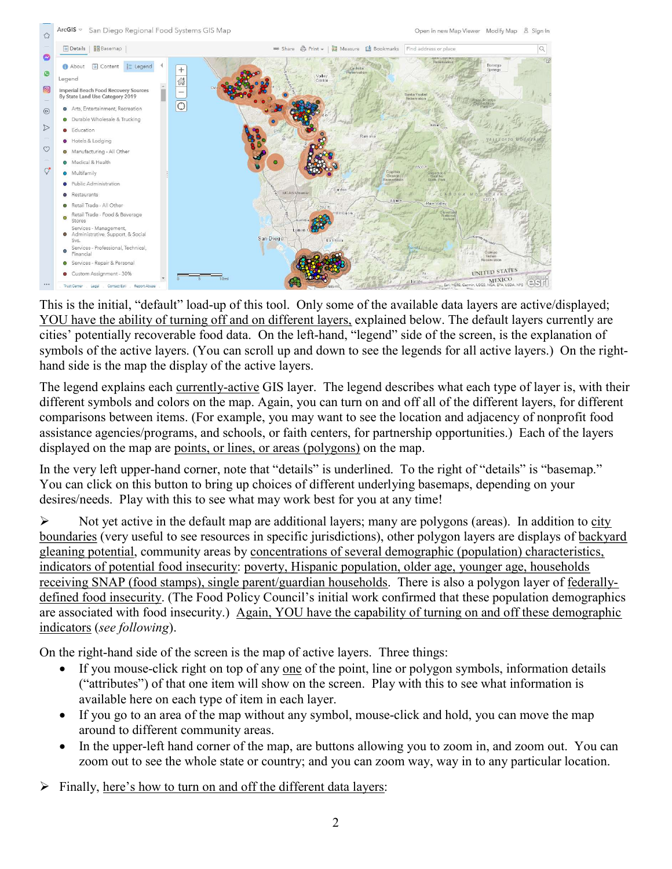

This is the initial, "default" load-up of this tool. Only some of the available data layers are active/displayed; YOU have the ability of turning off and on different layers, explained below. The default layers currently are cities' potentially recoverable food data. On the left-hand, "legend" side of the screen, is the explanation of symbols of the active layers. (You can scroll up and down to see the legends for all active layers.) On the righthand side is the map the display of the active layers.

The legend explains each currently-active GIS layer. The legend describes what each type of layer is, with their different symbols and colors on the map. Again, you can turn on and off all of the different layers, for different comparisons between items. (For example, you may want to see the location and adjacency of nonprofit food assistance agencies/programs, and schools, or faith centers, for partnership opportunities.) Each of the layers displayed on the map are points, or lines, or areas (polygons) on the map.

In the very left upper-hand corner, note that "details" is underlined. To the right of "details" is "basemap." You can click on this button to bring up choices of different underlying basemaps, depending on your desires/needs. Play with this to see what may work best for you at any time!

 $\triangleright$  Not yet active in the default map are additional layers; many are polygons (areas). In addition to city boundaries (very useful to see resources in specific jurisdictions), other polygon layers are displays of backyard gleaning potential, community areas by concentrations of several demographic (population) characteristics, indicators of potential food insecurity: poverty, Hispanic population, older age, younger age, households receiving SNAP (food stamps), single parent/guardian households. There is also a polygon layer of federallydefined food insecurity. (The Food Policy Council's initial work confirmed that these population demographics are associated with food insecurity.) Again, YOU have the capability of turning on and off these demographic indicators (see following).

On the right-hand side of the screen is the map of active layers. Three things:

- If you mouse-click right on top of any one of the point, line or polygon symbols, information details ("attributes") of that one item will show on the screen. Play with this to see what information is available here on each type of item in each layer.
- If you go to an area of the map without any symbol, mouse-click and hold, you can move the map around to different community areas.
- In the upper-left hand corner of the map, are buttons allowing you to zoom in, and zoom out. You can zoom out to see the whole state or country; and you can zoom way, way in to any particular location.
- $\triangleright$  Finally, here's how to turn on and off the different data layers: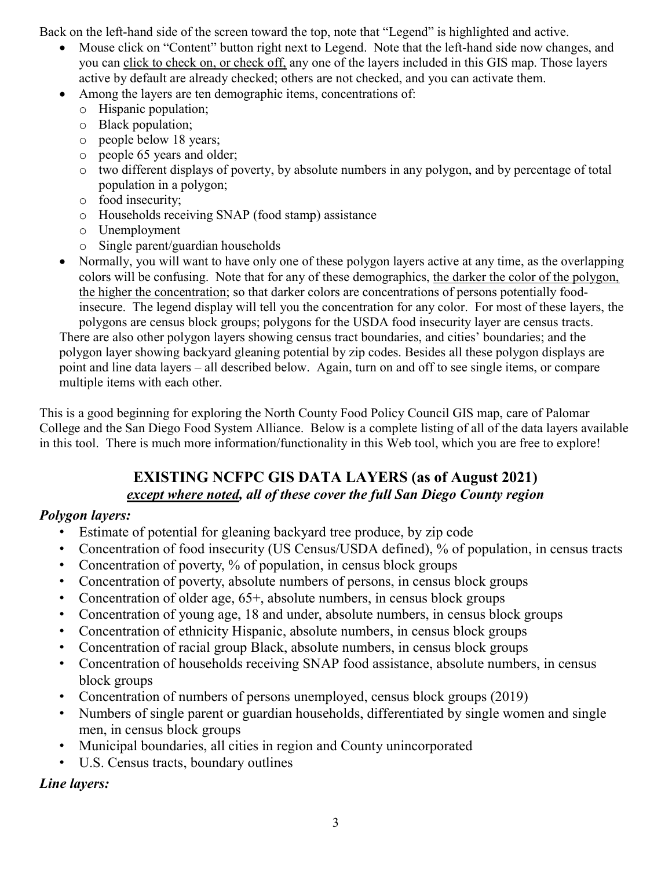Back on the left-hand side of the screen toward the top, note that "Legend" is highlighted and active.

- Mouse click on "Content" button right next to Legend. Note that the left-hand side now changes, and you can click to check on, or check off, any one of the layers included in this GIS map. Those layers active by default are already checked; others are not checked, and you can activate them.
- Among the layers are ten demographic items, concentrations of:
	- o Hispanic population;
	- o Black population;
	- o people below 18 years;
	- o people 65 years and older;
	- o two different displays of poverty, by absolute numbers in any polygon, and by percentage of total population in a polygon;
	- o food insecurity;
	- o Households receiving SNAP (food stamp) assistance
	- o Unemployment
	- o Single parent/guardian households
- Normally, you will want to have only one of these polygon layers active at any time, as the overlapping colors will be confusing. Note that for any of these demographics, the darker the color of the polygon, the higher the concentration; so that darker colors are concentrations of persons potentially foodinsecure. The legend display will tell you the concentration for any color. For most of these layers, the polygons are census block groups; polygons for the USDA food insecurity layer are census tracts.

There are also other polygon layers showing census tract boundaries, and cities' boundaries; and the polygon layer showing backyard gleaning potential by zip codes. Besides all these polygon displays are point and line data layers – all described below. Again, turn on and off to see single items, or compare multiple items with each other.

This is a good beginning for exploring the North County Food Policy Council GIS map, care of Palomar College and the San Diego Food System Alliance. Below is a complete listing of all of the data layers available in this tool. There is much more information/functionality in this Web tool, which you are free to explore!

## EXISTING NCFPC GIS DATA LAYERS (as of August 2021) except where noted, all of these cover the full San Diego County region

## Polygon layers:

- Estimate of potential for gleaning backyard tree produce, by zip code
- Concentration of food insecurity (US Census/USDA defined), % of population, in census tracts
- Concentration of poverty, % of population, in census block groups
- Concentration of poverty, absolute numbers of persons, in census block groups
- Concentration of older age, 65+, absolute numbers, in census block groups
- Concentration of young age, 18 and under, absolute numbers, in census block groups
- Concentration of ethnicity Hispanic, absolute numbers, in census block groups
- Concentration of racial group Black, absolute numbers, in census block groups
- Concentration of households receiving SNAP food assistance, absolute numbers, in census block groups
- Concentration of numbers of persons unemployed, census block groups (2019)
- Numbers of single parent or guardian households, differentiated by single women and single men, in census block groups
- Municipal boundaries, all cities in region and County unincorporated
- U.S. Census tracts, boundary outlines

Line layers: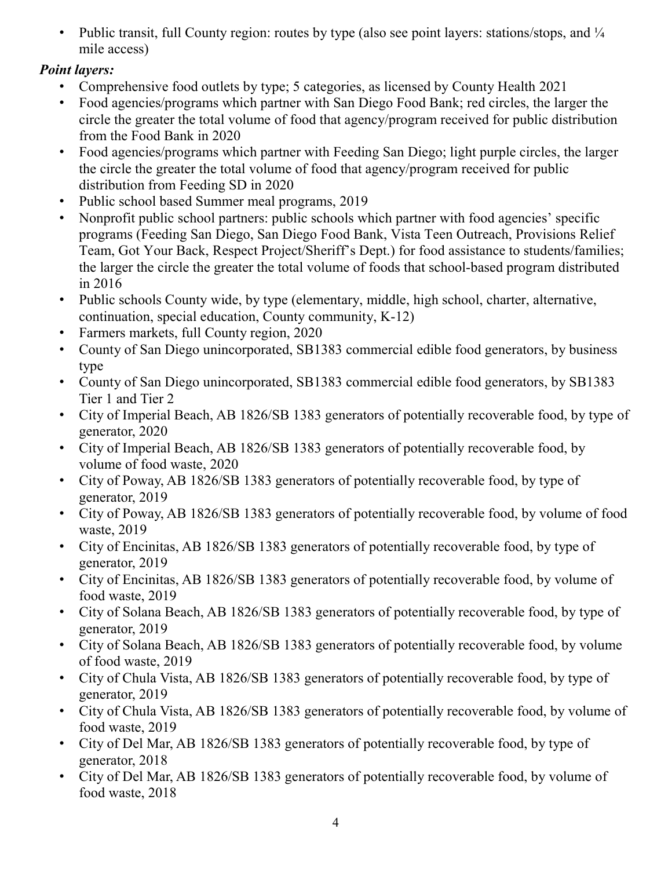• Public transit, full County region: routes by type (also see point layers: stations/stops, and  $\frac{1}{4}$ mile access)

# Point layers:

- Comprehensive food outlets by type; 5 categories, as licensed by County Health 2021
- Food agencies/programs which partner with San Diego Food Bank; red circles, the larger the circle the greater the total volume of food that agency/program received for public distribution from the Food Bank in 2020
- Food agencies/programs which partner with Feeding San Diego; light purple circles, the larger the circle the greater the total volume of food that agency/program received for public distribution from Feeding SD in 2020
- Public school based Summer meal programs, 2019
- Nonprofit public school partners: public schools which partner with food agencies' specific programs (Feeding San Diego, San Diego Food Bank, Vista Teen Outreach, Provisions Relief Team, Got Your Back, Respect Project/Sheriff's Dept.) for food assistance to students/families; the larger the circle the greater the total volume of foods that school-based program distributed in 2016
- Public schools County wide, by type (elementary, middle, high school, charter, alternative, continuation, special education, County community, K-12)
- Farmers markets, full County region, 2020
- County of San Diego unincorporated, SB1383 commercial edible food generators, by business type
- County of San Diego unincorporated, SB1383 commercial edible food generators, by SB1383 Tier 1 and Tier 2
- City of Imperial Beach, AB 1826/SB 1383 generators of potentially recoverable food, by type of generator, 2020
- City of Imperial Beach, AB 1826/SB 1383 generators of potentially recoverable food, by volume of food waste, 2020
- City of Poway, AB 1826/SB 1383 generators of potentially recoverable food, by type of generator, 2019
- City of Poway, AB 1826/SB 1383 generators of potentially recoverable food, by volume of food waste, 2019
- City of Encinitas, AB 1826/SB 1383 generators of potentially recoverable food, by type of generator, 2019
- City of Encinitas, AB 1826/SB 1383 generators of potentially recoverable food, by volume of food waste, 2019
- City of Solana Beach, AB 1826/SB 1383 generators of potentially recoverable food, by type of generator, 2019
- City of Solana Beach, AB 1826/SB 1383 generators of potentially recoverable food, by volume of food waste, 2019
- City of Chula Vista, AB 1826/SB 1383 generators of potentially recoverable food, by type of generator, 2019
- City of Chula Vista, AB 1826/SB 1383 generators of potentially recoverable food, by volume of food waste, 2019
- City of Del Mar, AB 1826/SB 1383 generators of potentially recoverable food, by type of generator, 2018
- City of Del Mar, AB 1826/SB 1383 generators of potentially recoverable food, by volume of food waste, 2018